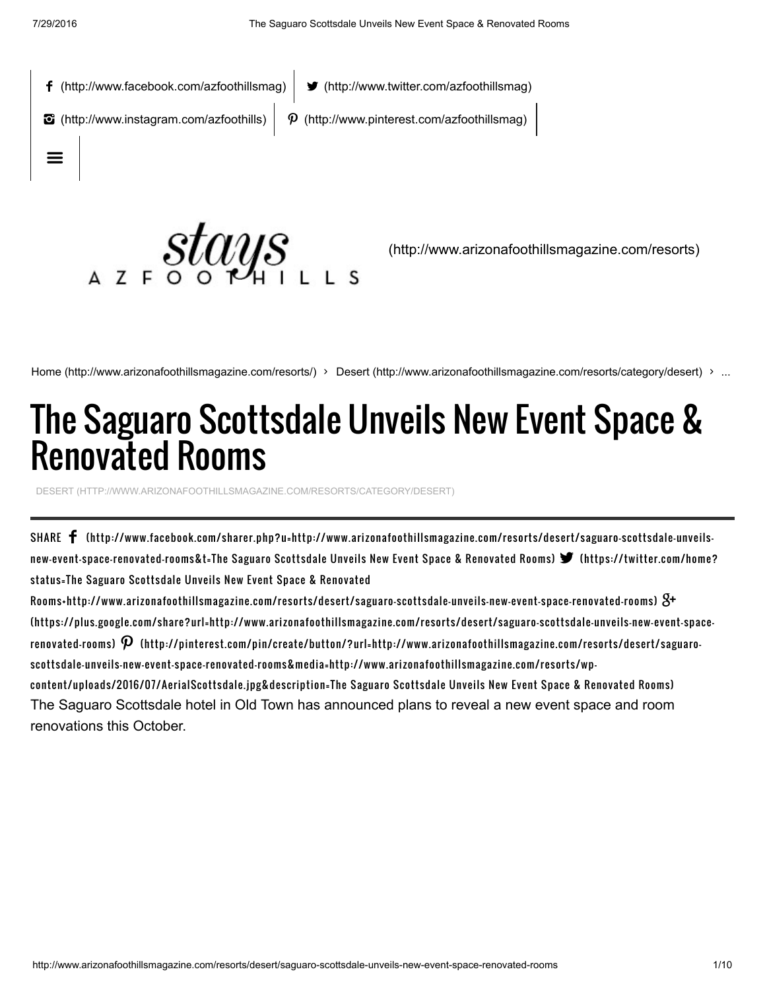

Home [\(http://www.arizonafoothillsmagazine.com/resorts/\)](http://www.arizonafoothillsmagazine.com/resorts/) > Desert [\(http://www.arizonafoothillsmagazine.com/resorts/category/desert\)](http://www.arizonafoothillsmagazine.com/resorts/category/desert) > ...

## The Saguaro Scottsdale Unveils New Event Space & Renovated Rooms

DESERT [\(HTTP://WWW.ARIZONAFOOTHILLSMAGAZINE.COM/RESORTS/CATEGORY/DESERT\)](http://www.arizonafoothillsmagazine.com/resorts/category/desert)

SHARE [\(http://www.facebook.com/sharer.php?u=http://www.arizonafoothillsmagazine.com/resorts/desert/saguaro-scottsdale-unveils](http://www.facebook.com/sharer.php?u=http://www.arizonafoothillsmagazine.com/resorts/desert/saguaro-scottsdale-unveils-new-event-space-renovated-rooms&t=The%20Saguaro%20Scottsdale%20Unveils%20New%20Event%20Space%20&%20Renovated%20Rooms)new-event-space-renovated-rooms&t=The Saguaro Scottsdale Unveils New Event Space & Renovated Rooms) (https://twitter.com/home? status=The Saguaro Scottsdale Unveils New Event Space & Renovated

[Rooms+http://www.arizonafoothillsmagazine.com/resorts/desert/saguaro-scottsdale-unveils-new-event-space-renovated-rooms\)](https://twitter.com/home?status=The%20Saguaro%20Scottsdale%20Unveils%20New%20Event%20Space%20&%20Renovated%20Rooms+http://www.arizonafoothillsmagazine.com/resorts/desert/saguaro-scottsdale-unveils-new-event-space-renovated-rooms) [\(https://plus.google.com/share?url=http://www.arizonafoothillsmagazine.com/resorts/desert/saguaro-scottsdale-unveils-new-event-space](https://plus.google.com/share?url=http://www.arizonafoothillsmagazine.com/resorts/desert/saguaro-scottsdale-unveils-new-event-space-renovated-rooms)renovated-rooms)  $\bm{\mathcal{P}}$  (http://pinterest.com/pin/create/button/?url=http://www.arizonafoothillsmagazine.com/resorts/desert/saguaro[scottsdale-unveils-new-event-space-renovated-rooms&media=http://www.arizonafoothillsmagazine.com/resorts/wp](http://pinterest.com/pin/create/button/?url=http://www.arizonafoothillsmagazine.com/resorts/desert/saguaro-scottsdale-unveils-new-event-space-renovated-rooms&media=http://www.arizonafoothillsmagazine.com/resorts/wp-content/uploads/2016/07/AerialScottsdale.jpg&description=The%20Saguaro%20Scottsdale%20Unveils%20New%20Event%20Space%20&%20Renovated%20Rooms)content/uploads/2016/07/AerialScottsdale.jpg&description=The Saguaro Scottsdale Unveils New Event Space & Renovated Rooms) The Saguaro Scottsdale hotel in Old Town has announced plans to reveal a new event space and room renovations this October.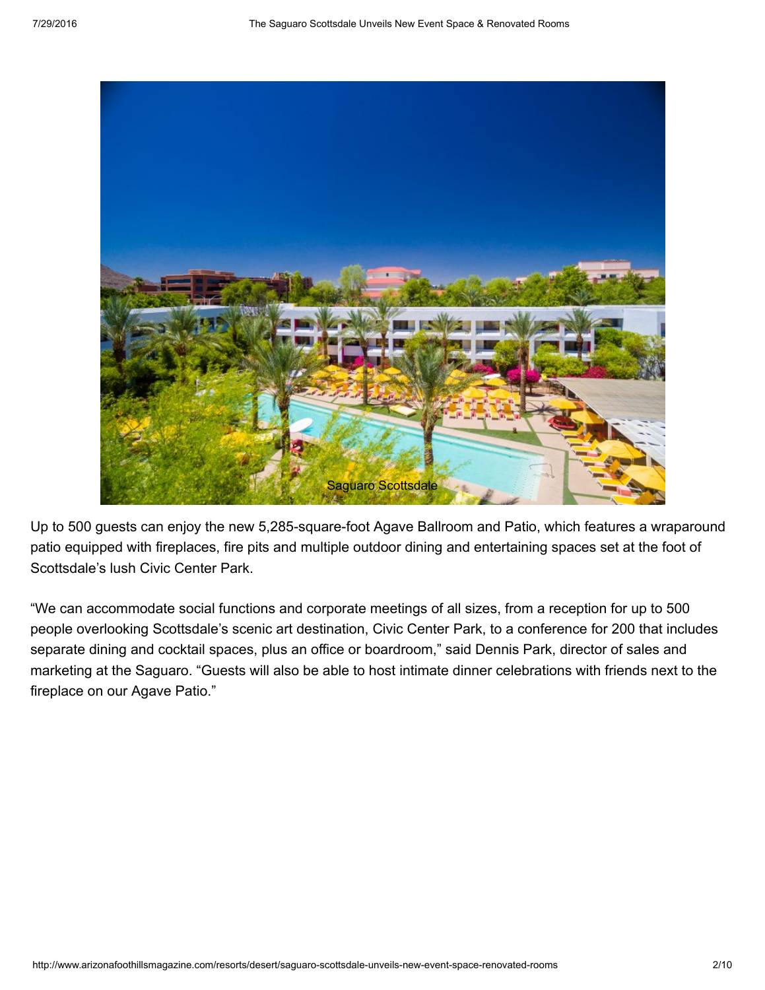

Up to 500 guests can enjoy the new 5,285-square-foot Agave Ballroom and Patio, which features a wraparound patio equipped with fireplaces, fire pits and multiple outdoor dining and entertaining spaces set at the foot of Scottsdale's lush Civic Center Park.

"We can accommodate social functions and corporate meetings of all sizes, from a reception for up to 500 people overlooking Scottsdale's scenic art destination, Civic Center Park, to a conference for 200 that includes separate dining and cocktail spaces, plus an office or boardroom," said Dennis Park, director of sales and marketing at the Saguaro. "Guests will also be able to host intimate dinner celebrations with friends next to the fireplace on our Agave Patio."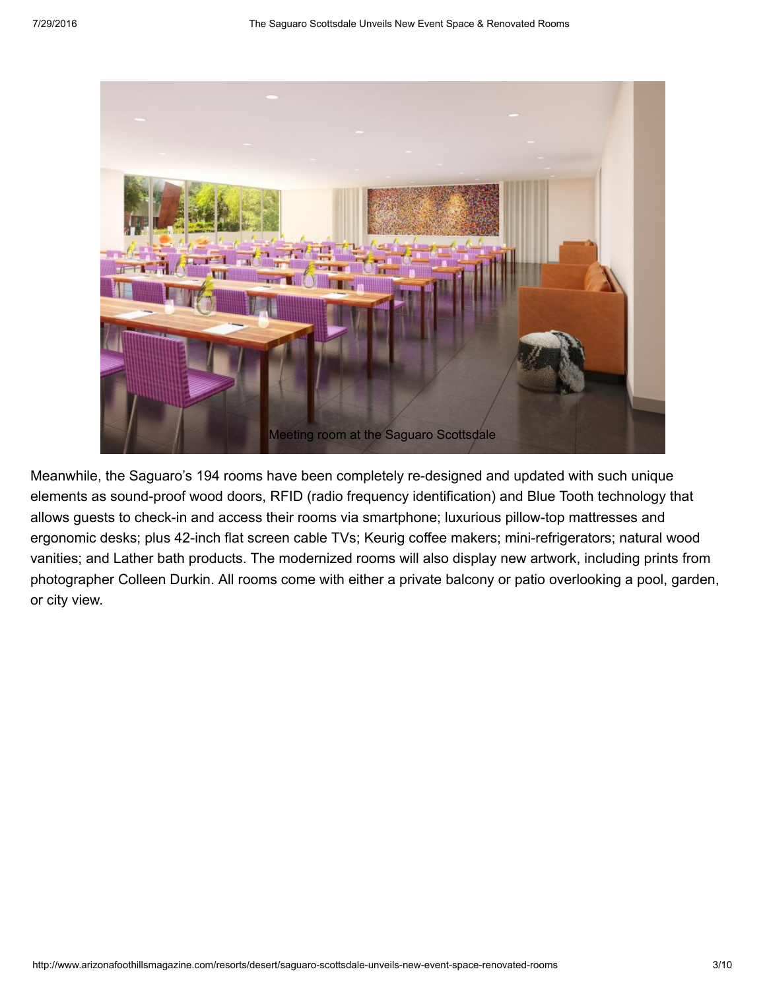

Meanwhile, the Saguaro's 194 rooms have been completely re-designed and updated with such unique elements as sound-proof wood doors, RFID (radio frequency identification) and Blue Tooth technology that allows guests to check-in and access their rooms via smartphone; luxurious pillow-top mattresses and ergonomic desks; plus 42-inch flat screen cable TVs; Keurig coffee makers; mini-refrigerators; natural wood vanities; and Lather bath products. The modernized rooms will also display new artwork, including prints from photographer Colleen Durkin. All rooms come with either a private balcony or patio overlooking a pool, garden, or city view.